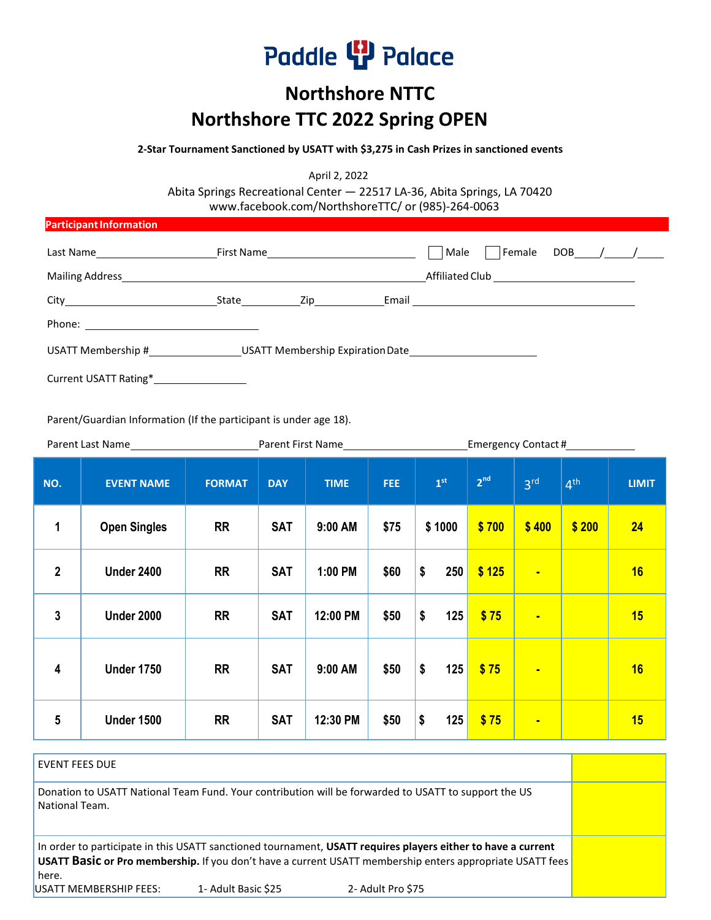# Paddle <sup>[]</sup> Palace

### **Northshore NTTC Northshore TTC 2022 Spring OPEN**

 **2-Star Tournament Sanctioned by USATT with \$3,275 in Cash Prizes in sanctioned events**

April 2, 2022

Abita Springs Recreational Center — 22517 LA-36, Abita Springs, LA 70420 [www.facebook.com/NorthshoreTTC/ o](http://www.facebook.com/NorthshoreTTC/)r (985)-264-0063

| <b>Participant Information</b>                                                                                                                                                                                                      |           |                  |                                               |  |  |  |
|-------------------------------------------------------------------------------------------------------------------------------------------------------------------------------------------------------------------------------------|-----------|------------------|-----------------------------------------------|--|--|--|
| Last Name Last 2011                                                                                                                                                                                                                 |           | Female<br>  Male | $DOB$ / /                                     |  |  |  |
| Mailing Address <b>Executive Services</b> and the service of the service of the service of the service of the service of the service of the service of the service of the service of the service of the service of the service of t |           |                  | Affiliated Club _____________________________ |  |  |  |
|                                                                                                                                                                                                                                     | State Zip |                  |                                               |  |  |  |
|                                                                                                                                                                                                                                     |           |                  |                                               |  |  |  |
| USATT Membership #_____________________USATT Membership Expiration Date__________                                                                                                                                                   |           |                  |                                               |  |  |  |
| Current USATT Rating*                                                                                                                                                                                                               |           |                  |                                               |  |  |  |

Parent/Guardian Information (If the participant is under age 18).

| Parent Last Name        |                     | Parent First Name |            |             | Emergency Contact #_____________ |                 |                 |                 |                 |              |
|-------------------------|---------------------|-------------------|------------|-------------|----------------------------------|-----------------|-----------------|-----------------|-----------------|--------------|
| NO.                     | <b>EVENT NAME</b>   | <b>FORMAT</b>     | <b>DAY</b> | <b>TIME</b> | <b>FEE</b>                       | 1 <sup>st</sup> | 2 <sup>nd</sup> | 3 <sup>rd</sup> | 4 <sup>th</sup> | <b>LIMIT</b> |
| $\mathbf{1}$            | <b>Open Singles</b> | <b>RR</b>         | <b>SAT</b> | 9:00 AM     | \$75                             | \$1000          | \$700           | \$400           | \$200           | 24           |
| $\overline{2}$          | <b>Under 2400</b>   | <b>RR</b>         | <b>SAT</b> | 1:00 PM     | \$60                             | \$<br>250       | \$125           | $\blacksquare$  |                 | 16           |
| 3                       | <b>Under 2000</b>   | <b>RR</b>         | <b>SAT</b> | 12:00 PM    | \$50                             | \$<br>125       | \$75            | <b>College</b>  |                 | 15           |
| $\overline{\mathbf{4}}$ | <b>Under 1750</b>   | <b>RR</b>         | <b>SAT</b> | 9:00 AM     | \$50                             | \$<br>125       | \$75            | $\blacksquare$  |                 | 16           |
| $5\phantom{.0}$         | <b>Under 1500</b>   | <b>RR</b>         | <b>SAT</b> | 12:30 PM    | \$50                             | \$<br>125       | \$75            | $\blacksquare$  |                 | 15           |

EVENT FEES DUE Donation to USATT National Team Fund. Your contribution will be forwarded to USATT to support the US National Team. In order to participate in this USATT sanctioned tournament, **USATT requires players either to have a current USATT Basic or Pro membership.** If you don't have a current USATT membership enters appropriate USATT fees here. USATT MEMBERSHIP FEES: 1- Adult Basic \$25 2- Adult Pro \$75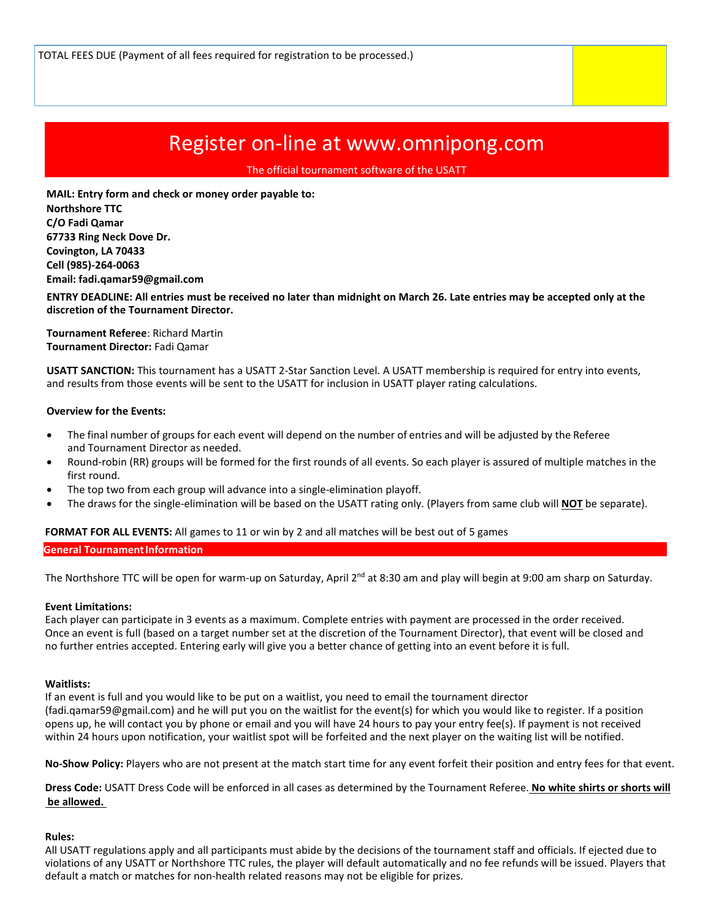## Register on-line at [www.omnipong.com](http://www.omnipong.com/)

The official tournament software of the USATT

 **MAIL: Entry form and check or money order payable to: Northshore TTC C/O Fadi Qamar 67733 Ring Neck Dove Dr. Covington, LA 70433 Cell (985)-264-0063 Email: fadi.qamar59@gmail.com**

**ENTRY DEADLINE: All entries must be received no later than midnight on March 26. Late entries may be accepted only at the discretion of the Tournament Director.**

**Tournament Referee**: Richard Martin **Tournament Director:** Fadi Qamar

**USATT SANCTION:** This tournament has a USATT 2-Star Sanction Level. A USATT membership is required for entry into events, and results from those events will be sent to the USATT for inclusion in USATT player rating calculations.

#### **Overview for the Events:**

- The final number of groups for each event will depend on the number of entries and will be adjusted by the Referee and Tournament Director as needed.
- Round-robin (RR) groups will be formed for the first rounds of all events. So each player is assured of multiple matches in the first round.
- The top two from each group will advance into a single-elimination playoff.
- The draws for the single-elimination will be based on the USATT rating only. (Players from same club will **NOT** be separate).

#### **FORMAT FOR ALL EVENTS:** All games to 11 or win by 2 and all matches will be best out of 5 games

**General Tournament Information** 

The Northshore TTC will be open for warm-up on Saturday, April 2<sup>nd</sup> at 8:30 am and play will begin at 9:00 am sharp on Saturday.

#### **Event Limitations:**

Each player can participate in 3 events as a maximum. Complete entries with payment are processed in the order received. Once an event is full (based on a target number set at the discretion of the Tournament Director), that event will be closed and no further entries accepted. Entering early will give you a better chance of getting into an event before it is full.

#### **Waitlists:**

If an event is full and you would like to be put on a waitlist, you need to email the tournament director (fadi.qamar59@gmail.com) and he will put you on the waitlist for the event(s) for which you would like to register. If a position opens up, he will contact you by phone or email and you will have 24 hours to pay your entry fee(s). If payment is not received within 24 hours upon notification, your waitlist spot will be forfeited and the next player on the waiting list will be notified.

**No-Show Policy:** Players who are not present at the match start time for any event forfeit their position and entry fees for that event.

**Dress Code:** USATT Dress Code will be enforced in all cases as determined by the Tournament Referee. **No white shirts or shorts will be allowed.** 

#### **Rules:**

All USATT regulations apply and all participants must abide by the decisions of the tournament staff and officials. If ejected due to violations of any USATT or Northshore TTC rules, the player will default automatically and no fee refunds will be issued. Players that default a match or matches for non-health related reasons may not be eligible for prizes.